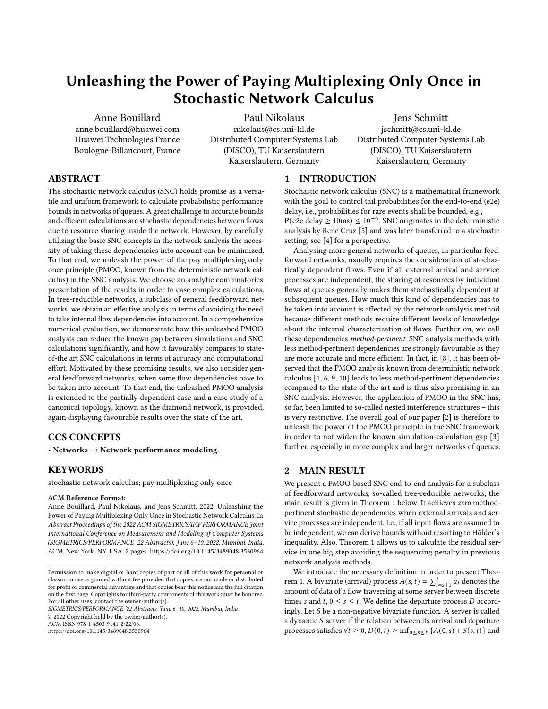# Unleashing the Power of Paying Multiplexing Only Once in Stochastic Network Calculus

[Anne Bouillard](https://orcid.org/0000-0002-3345-4653) anne.bouillard@huawei.com Huawei Technologies France Boulogne-Billancourt, France

[Paul Nikolaus](https://orcid.org/0000-0001-5277-0267) nikolaus@cs.uni-kl.de Distributed Computer Systems Lab (DISCO), TU Kaiserslautern Kaiserslautern, Germany

[Jens Schmitt](https://orcid.org/0000-0002-3066-4305) jschmitt@cs.uni-kl.de Distributed Computer Systems Lab (DISCO), TU Kaiserslautern Kaiserslautern, Germany

# ABSTRACT

The stochastic network calculus (SNC) holds promise as a versatile and uniform framework to calculate probabilistic performance bounds in networks of queues. A great challenge to accurate bounds and efficient calculations are stochastic dependencies between flows due to resource sharing inside the network. However, by carefully utilizing the basic SNC concepts in the network analysis the necessity of taking these dependencies into account can be minimized. To that end, we unleash the power of the pay multiplexing only once principle (PMOO, known from the deterministic network calculus) in the SNC analysis. We choose an analytic combinatorics presentation of the results in order to ease complex calculations. In tree-reducible networks, a subclass of general feedforward networks, we obtain an effective analysis in terms of avoiding the need to take internal flow dependencies into account. In a comprehensive numerical evaluation, we demonstrate how this unleashed PMOO analysis can reduce the known gap between simulations and SNC calculations significantly, and how it favourably compares to stateof-the art SNC calculations in terms of accuracy and computational effort. Motivated by these promising results, we also consider general feedforward networks, when some flow dependencies have to be taken into account. To that end, the unleashed PMOO analysis is extended to the partially dependent case and a case study of a canonical topology, known as the diamond network, is provided, again displaying favourable results over the state of the art.

# CCS CONCEPTS

• Networks  $\rightarrow$  Network performance modeling.

# KEYWORDS

stochastic network calculus; pay multiplexing only once

#### ACM Reference Format:

Anne Bouillard, Paul Nikolaus, and Jens Schmitt. 2022. Unleashing the Power of Paying Multiplexing Only Once in Stochastic Network Calculus. In Abstract Proceedings of the 2022 ACM SIGMETRICS/IFIP PERFORMANCE Joint International Conference on Measurement and Modeling of Computer Systems (SIGMETRICS/PERFORMANCE '22 Abstracts), June 6–10, 2022, Mumbai, India. ACM, New York, NY, USA, [2](#page-1-0) pages.<https://doi.org/10.1145/3489048.3530964>

SIGMETRICS/PERFORMANCE '22 Abstracts, June 6–10, 2022, Mumbai, India © 2022 Copyright held by the owner/author(s).

ACM ISBN 978-1-4503-9141-2/22/06.

<https://doi.org/10.1145/3489048.3530964>

#### 1 INTRODUCTION

Stochastic network calculus (SNC) is a mathematical framework with the goal to control tail probabilities for the end-to-end (e2e) delay, i.e., probabilities for rare events shall be bounded, e.g.,  $P(e2e$  delay  $\geq 10$ ms)  $\leq 10^{-6}$ . SNC originates in the deterministic analysis by Rene Cruz [\[5\]](#page-1-1) and was later transferred to a stochastic setting, see [\[4\]](#page-1-2) for a perspective.

Analysing more general networks of queues, in particular feedforward networks, usually requires the consideration of stochastically dependent flows. Even if all external arrival and service processes are independent, the sharing of resources by individual flows at queues generally makes them stochastically dependent at subsequent queues. How much this kind of dependencies has to be taken into account is affected by the network analysis method because different methods require different levels of knowledge about the internal characterization of flows. Further on, we call these dependencies method-pertinent. SNC analysis methods with less method-pertinent dependencies are strongly favourable as they are more accurate and more efficient. In fact, in [\[8\]](#page-1-3), it has been observed that the PMOO analysis known from deterministic network calculus [\[1,](#page-1-4) [6,](#page-1-5) [9,](#page-1-6) [10\]](#page-1-7) leads to less method-pertinent dependencies compared to the state of the art and is thus also promising in an SNC analysis. However, the application of PMOO in the SNC has, so far, been limited to so-called nested interference structures – this is very restrictive. The overall goal of our paper [\[2\]](#page-1-8) is therefore to unleash the power of the PMOO principle in the SNC framework in order to not widen the known simulation-calculation gap [\[3\]](#page-1-9) further, especially in more complex and larger networks of queues.

# 2 MAIN RESULT

We present a PMOO-based SNC end-to-end analysis for a subclass of feedforward networks, so-called tree-reducible networks; the main result is given in Theorem [1](#page-1-10) below. It achieves zero methodpertinent stochastic dependencies when external arrivals and service processes are independent. I.e., if all input flows are assumed to be independent, we can derive bounds without resorting to Hölder's inequality. Also, Theorem [1](#page-1-10) allows us to calculate the residual service in one big step avoiding the sequencing penalty in previous network analysis methods.

We introduce the necessary definition in order to present Theo-rem [1.](#page-1-10) A bivariate (arrival) process  $A(s, t) = \sum_{i=s+1}^{t} a_i$  denotes the amount of data of a flow traversing at some server between discrete times *s* and *t*,  $0 \le s \le t$ . We define the departure process *D* accordingly. Let  $S$  be a non-negative bivariate function. A server is called a dynamic S-server if the relation between its arrival and departure processes satisfies  $\forall t \geq 0, D(0, t) \geq \inf_{0 \leq s \leq t} \{A(0, s) + S(s, t)\}\$ and

Permission to make digital or hard copies of part or all of this work for personal or classroom use is granted without fee provided that copies are not made or distributed for profit or commercial advantage and that copies bear this notice and the full citation on the first page. Copyrights for third-party components of this work must be honored. For all other uses, contact the owner/author(s).